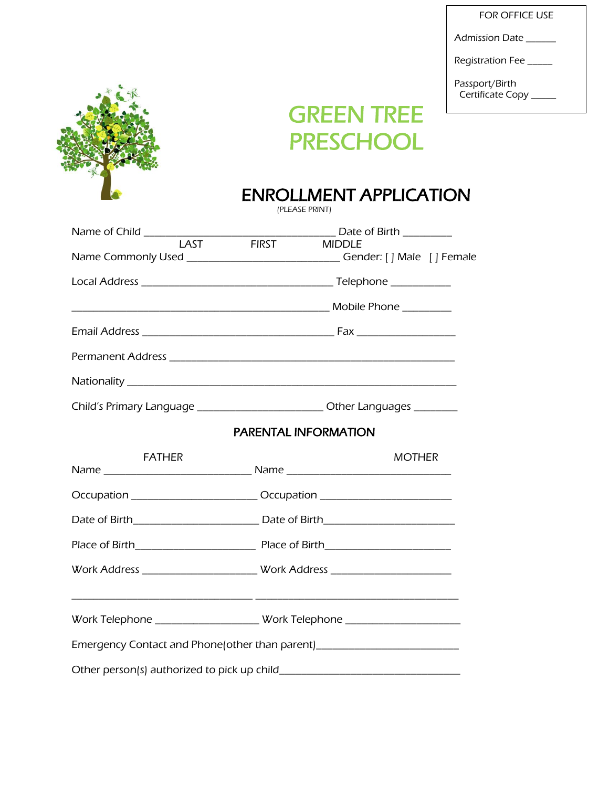FOR OFFICE USE

Admission Date \_\_\_\_\_\_

Registration Fee \_\_\_\_\_

Passport/Birth Certificate Copy \_\_\_\_\_



# GREEN TREE PRESCHOOL

## ENROLLMENT APPLICATION

(PLEASE PRINT)

|               | <b>MIDDLE</b>                                                                    |  |  |  |
|---------------|----------------------------------------------------------------------------------|--|--|--|
|               | Name Commonly Used _______________________________Gender: [ ] Male [ ] Female    |  |  |  |
|               |                                                                                  |  |  |  |
|               |                                                                                  |  |  |  |
|               |                                                                                  |  |  |  |
|               |                                                                                  |  |  |  |
|               |                                                                                  |  |  |  |
|               | Child's Primary Language __________________________Other Languages _________     |  |  |  |
|               | <b>PARENTAL INFORMATION</b>                                                      |  |  |  |
| <b>FATHER</b> | <b>MOTHER</b>                                                                    |  |  |  |
|               | Occupation ____________________________Occupation ______________________________ |  |  |  |
|               |                                                                                  |  |  |  |
|               |                                                                                  |  |  |  |
|               | Work Address _________________________Work Address _____________________________ |  |  |  |
|               | Work Telephone ________________________ Work Telephone _________________________ |  |  |  |
|               | Emergency Contact and Phone(other than parent)__________________________________ |  |  |  |
|               |                                                                                  |  |  |  |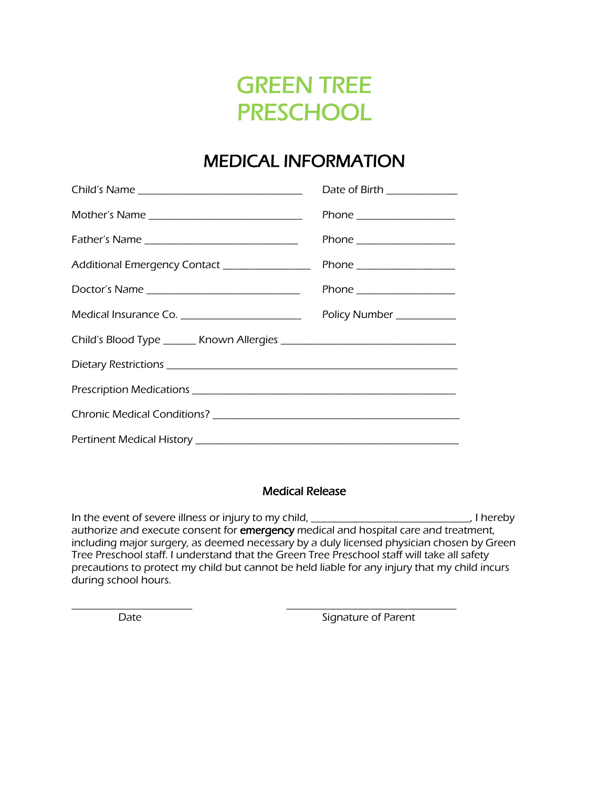## GREEN TREE **PRESCHOOL**

## MEDICAL INFORMATION

|                                                 | Date of Birth ____________ |
|-------------------------------------------------|----------------------------|
| Mother's Name _______________________________   | Phone ___________________  |
|                                                 | Phone ___________________  |
|                                                 |                            |
| Doctor's Name _________________________________ | Phone ___________________  |
| Medical Insurance Co. _________________________ | Policy Number ___________  |
|                                                 |                            |
|                                                 |                            |
|                                                 |                            |
|                                                 |                            |
|                                                 |                            |

#### Medical Release

In the event of severe illness or injury to my child, \_\_\_\_\_\_\_\_\_\_\_\_\_\_\_\_\_\_\_\_\_\_\_\_\_\_\_\_\_\_\_, I hereby authorize and execute consent for emergency medical and hospital care and treatment, including major surgery, as deemed necessary by a duly licensed physician chosen by Green Tree Preschool staff. I understand that the Green Tree Preschool staff will take all safety precautions to protect my child but cannot be held liable for any injury that my child incurs during school hours.

\_\_\_\_\_\_\_\_\_\_\_\_\_\_\_\_\_\_\_\_\_\_ \_\_\_\_\_\_\_\_\_\_\_\_\_\_\_\_\_\_\_\_\_\_\_\_\_\_\_\_\_\_\_ Date **Signature of Parent**